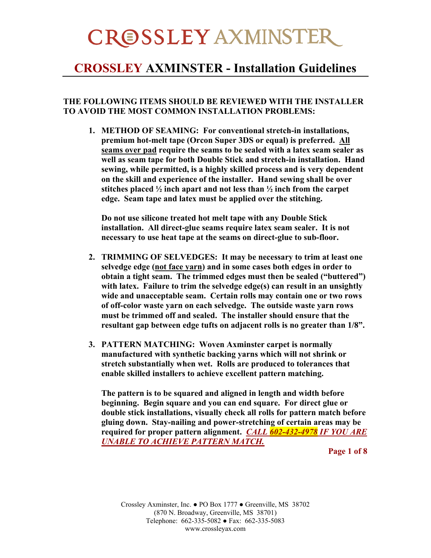#### **CROSSLEY AXMINSTER - Installation Guidelines**

#### **THE FOLLOWING ITEMS SHOULD BE REVIEWED WITH THE INSTALLER TO AVOID THE MOST COMMON INSTALLATION PROBLEMS:**

**1. METHOD OF SEAMING: For conventional stretch-in installations, premium hot-melt tape (Orcon Super 3DS or equal) is preferred. All seams over pad require the seams to be sealed with a latex seam sealer as well as seam tape for both Double Stick and stretch-in installation. Hand sewing, while permitted, is a highly skilled process and is very dependent on the skill and experience of the installer. Hand sewing shall be over stitches placed ½ inch apart and not less than ½ inch from the carpet edge. Seam tape and latex must be applied over the stitching.**

**Do not use silicone treated hot melt tape with any Double Stick installation. All direct-glue seams require latex seam sealer. It is not necessary to use heat tape at the seams on direct-glue to sub-floor.**

- **2. TRIMMING OF SELVEDGES: It may be necessary to trim at least one selvedge edge (not face yarn) and in some cases both edges in order to obtain a tight seam. The trimmed edges must then be sealed ("buttered") with latex. Failure to trim the selvedge edge(s) can result in an unsightly wide and unacceptable seam. Certain rolls may contain one or two rows of off-color waste yarn on each selvedge. The outside waste yarn rows must be trimmed off and sealed. The installer should ensure that the resultant gap between edge tufts on adjacent rolls is no greater than 1/8".**
- **3. PATTERN MATCHING: Woven Axminster carpet is normally manufactured with synthetic backing yarns which will not shrink or stretch substantially when wet. Rolls are produced to tolerances that enable skilled installers to achieve excellent pattern matching.**

**The pattern is to be squared and aligned in length and width before beginning. Begin square and you can end square. For direct glue or double stick installations, visually check all rolls for pattern match before gluing down. Stay-nailing and power-stretching of certain areas may be required for proper pattern alignment.** *CALL 602-432-4978 IF YOU ARE UNABLE TO ACHIEVE PATTERN MATCH.*

**Page 1 of 8**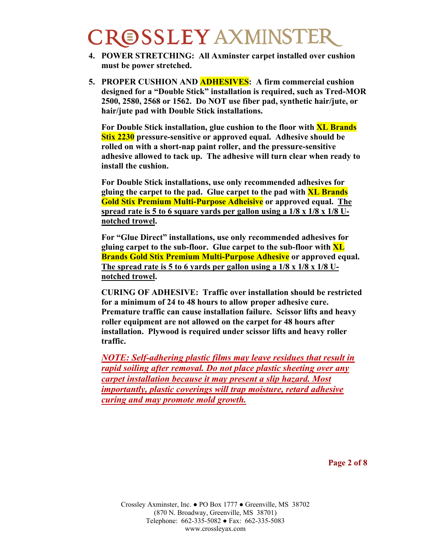- **4. POWER STRETCHING: All Axminster carpet installed over cushion must be power stretched.**
- **5. PROPER CUSHION AND ADHESIVES: A firm commercial cushion designed for a "Double Stick" installation is required, such as Tred-MOR 2500, 2580, 2568 or 1562. Do NOT use fiber pad, synthetic hair/jute, or hair/jute pad with Double Stick installations.**

**For Double Stick installation, glue cushion to the floor with XL Brands Stix 2230 pressure-sensitive or approved equal. Adhesive should be rolled on with a short-nap paint roller, and the pressure-sensitive adhesive allowed to tack up. The adhesive will turn clear when ready to install the cushion.**

**For Double Stick installations, use only recommended adhesives for gluing the carpet to the pad. Glue carpet to the pad with XL Brands Gold Stix Premium Multi-Purpose Adheisive or approved equal. The spread rate is 5 to 6 square yards per gallon using a 1/8 x 1/8 x 1/8 Unotched trowel.**

**For "Glue Direct" installations, use only recommended adhesives for gluing carpet to the sub-floor. Glue carpet to the sub-floor with XL Brands Gold Stix Premium Multi-Purpose Adhesive or approved equal. The spread rate is 5 to 6 yards per gallon using a 1/8 x 1/8 x 1/8 Unotched trowel.**

**CURING OF ADHESIVE: Traffic over installation should be restricted for a minimum of 24 to 48 hours to allow proper adhesive cure. Premature traffic can cause installation failure. Scissor lifts and heavy roller equipment are not allowed on the carpet for 48 hours after installation. Plywood is required under scissor lifts and heavy roller traffic.**

*NOTE: Self-adhering plastic films may leave residues that result in rapid soiling after removal. Do not place plastic sheeting over any carpet installation because it may present a slip hazard. Most importantly, plastic coverings will trap moisture, retard adhesive curing and may promote mold growth.*

**Page 2 of 8**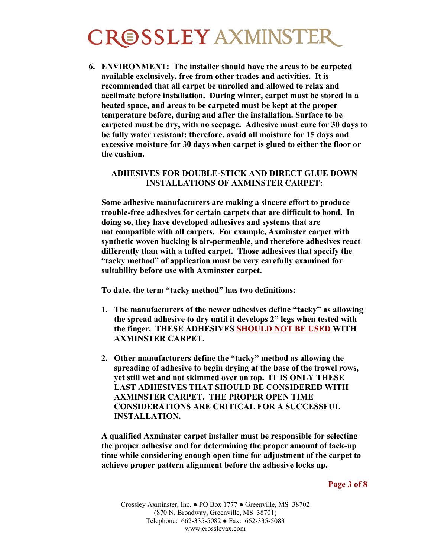**6. ENVIRONMENT: The installer should have the areas to be carpeted available exclusively, free from other trades and activities. It is recommended that all carpet be unrolled and allowed to relax and acclimate before installation. During winter, carpet must be stored in a heated space, and areas to be carpeted must be kept at the proper temperature before, during and after the installation. Surface to be carpeted must be dry, with no seepage. Adhesive must cure for 30 days to be fully water resistant: therefore, avoid all moisture for 15 days and excessive moisture for 30 days when carpet is glued to either the floor or the cushion.**

#### **ADHESIVES FOR DOUBLE-STICK AND DIRECT GLUE DOWN INSTALLATIONS OF AXMINSTER CARPET:**

**Some adhesive manufacturers are making a sincere effort to produce trouble-free adhesives for certain carpets that are difficult to bond. In doing so, they have developed adhesives and systems that are not compatible with all carpets. For example, Axminster carpet with synthetic woven backing is air-permeable, and therefore adhesives react differently than with a tufted carpet. Those adhesives that specify the "tacky method" of application must be very carefully examined for suitability before use with Axminster carpet.**

**To date, the term "tacky method" has two definitions:**

- **1. The manufacturers of the newer adhesives define "tacky" as allowing the spread adhesive to dry until it develops 2" legs when tested with the finger. THESE ADHESIVES SHOULD NOT BE USED WITH AXMINSTER CARPET.**
- **2. Other manufacturers define the "tacky" method as allowing the spreading of adhesive to begin drying at the base of the trowel rows, yet still wet and not skimmed over on top. IT IS ONLY THESE LAST ADHESIVES THAT SHOULD BE CONSIDERED WITH AXMINSTER CARPET. THE PROPER OPEN TIME CONSIDERATIONS ARE CRITICAL FOR A SUCCESSFUL INSTALLATION.**

**A qualified Axminster carpet installer must be responsible for selecting the proper adhesive and for determining the proper amount of tack-up time while considering enough open time for adjustment of the carpet to achieve proper pattern alignment before the adhesive locks up.**

**Page 3 of 8**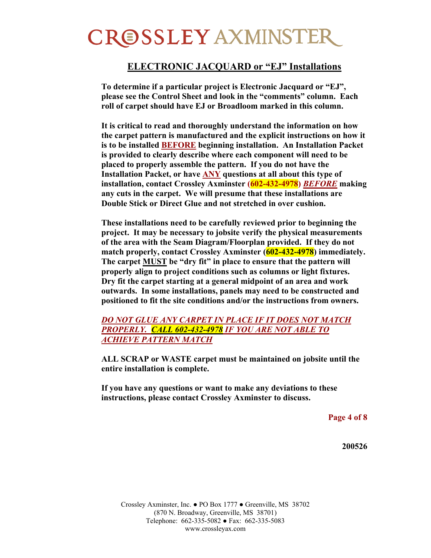#### **ELECTRONIC JACQUARD or "EJ" Installations**

**To determine if a particular project is Electronic Jacquard or "EJ", please see the Control Sheet and look in the "comments" column. Each roll of carpet should have EJ or Broadloom marked in this column.**

**It is critical to read and thoroughly understand the information on how the carpet pattern is manufactured and the explicit instructions on how it is to be installed BEFORE beginning installation. An Installation Packet is provided to clearly describe where each component will need to be placed to properly assemble the pattern. If you do not have the Installation Packet, or have ANY questions at all about this type of installation, contact Crossley Axminster (602-432-4978)** *BEFORE* **making any cuts in the carpet. We will presume that these installations are Double Stick or Direct Glue and not stretched in over cushion.**

**These installations need to be carefully reviewed prior to beginning the project. It may be necessary to jobsite verify the physical measurements of the area with the Seam Diagram/Floorplan provided. If they do not match properly, contact Crossley Axminster (602-432-4978) immediately. The carpet MUST be "dry fit" in place to ensure that the pattern will properly align to project conditions such as columns or light fixtures. Dry fit the carpet starting at a general midpoint of an area and work outwards. In some installations, panels may need to be constructed and positioned to fit the site conditions and/or the instructions from owners.**

*DO NOT GLUE ANY CARPET IN PLACE IF IT DOES NOT MATCH PROPERLY. CALL 602-432-4978 IF YOU ARE NOT ABLE TO ACHIEVE PATTERN MATCH*

**ALL SCRAP or WASTE carpet must be maintained on jobsite until the entire installation is complete.**

**If you have any questions or want to make any deviations to these instructions, please contact Crossley Axminster to discuss.**

**Page 4 of 8**

**200526**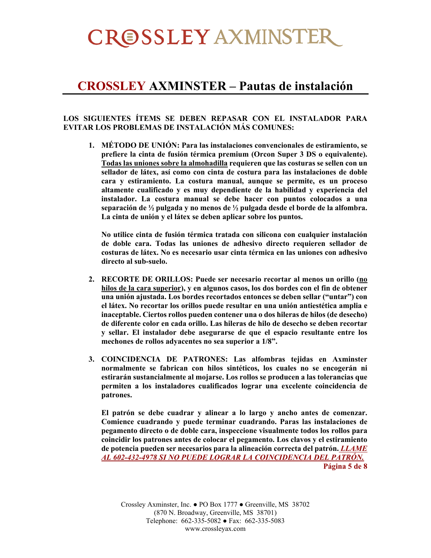#### **CROSSLEY AXMINSTER – Pautas de instalación**

#### **LOS SIGUIENTES ÍTEMS SE DEBEN REPASAR CON EL INSTALADOR PARA EVITAR LOS PROBLEMAS DE INSTALACIÓN MÁS COMUNES:**

**1. MÉTODO DE UNIÓN: Para las instalaciones convencionales de estiramiento, se prefiere la cinta de fusión térmica premium (Orcon Super 3 DS o equivalente). Todas las uniones sobre la almohadilla requieren que las costuras se sellen con un sellador de látex, así como con cinta de costura para las instalaciones de doble cara y estiramiento. La costura manual, aunque se permite, es un proceso altamente cualificado y es muy dependiente de la habilidad y experiencia del instalador. La costura manual se debe hacer con puntos colocados a una separación de ½ pulgada y no menos de ½ pulgada desde el borde de la alfombra. La cinta de unión y el látex se deben aplicar sobre los puntos.**

**No utilice cinta de fusión térmica tratada con silicona con cualquier instalación de doble cara. Todas las uniones de adhesivo directo requieren sellador de costuras de látex. No es necesario usar cinta térmica en las uniones con adhesivo directo al sub-suelo.**

- **2. RECORTE DE ORILLOS: Puede ser necesario recortar al menos un orillo (no hilos de la cara superior), y en algunos casos, los dos bordes con el fin de obtener una unión ajustada. Los bordes recortados entonces se deben sellar ("untar") con el látex. No recortar los orillos puede resultar en una unión antiestética amplia e inaceptable. Ciertos rollos pueden contener una o dos hileras de hilos (de desecho) de diferente color en cada orillo. Las hileras de hilo de desecho se deben recortar y sellar. El instalador debe asegurarse de que el espacio resultante entre los mechones de rollos adyacentes no sea superior a 1/8".**
- **3. COINCIDENCIA DE PATRONES: Las alfombras tejidas en Axminster normalmente se fabrican con hilos sintéticos, los cuales no se encogerán ni estirarán sustancialmente al mojarse. Los rollos se producen a las tolerancias que permiten a los instaladores cualificados lograr una excelente coincidencia de patrones.**

**El patrón se debe cuadrar y alinear a lo largo y ancho antes de comenzar. Comience cuadrando y puede terminar cuadrando. Paras las instalaciones de pegamento directo o de doble cara, inspeccione visualmente todos los rollos para coincidir los patrones antes de colocar el pegamento. Los clavos y el estiramiento de potencia pueden ser necesarios para la alineación correcta del patrón.** *LLAME AL 602-432-4978 SI NO PUEDE LOGRAR LA COINCIDENCIA DEL PATRÓN.* **Página 5 de 8**

Crossley Axminster, Inc. ● PO Box 1777 ● Greenville, MS 38702 (870 N. Broadway, Greenville, MS 38701) Telephone: 662-335-5082 ● Fax: 662-335-5083 www.crossleyax.com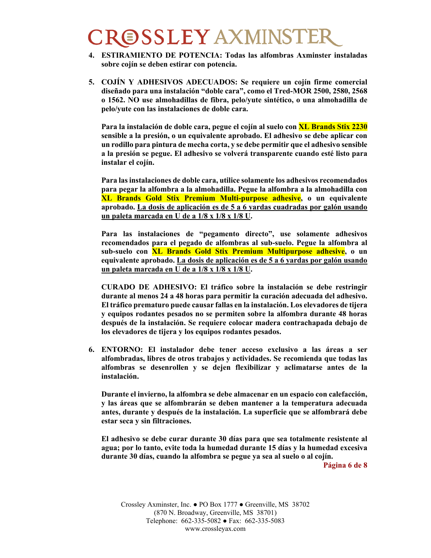- **4. ESTIRAMIENTO DE POTENCIA: Todas las alfombras Axminster instaladas sobre cojín se deben estirar con potencia.**
- **5. COJÍN Y ADHESIVOS ADECUADOS: Se requiere un cojín firme comercial diseñado para una instalación "doble cara", como el Tred-MOR 2500, 2580, 2568 o 1562. NO use almohadillas de fibra, pelo/yute sintético, o una almohadilla de pelo/yute con las instalaciones de doble cara.**

**Para la instalación de doble cara, pegue el cojín al suelo con XL Brands Stix 2230 sensible a la presión, o un equivalente aprobado. El adhesivo se debe aplicar con un rodillo para pintura de mecha corta, y se debe permitir que el adhesivo sensible a la presión se pegue. El adhesivo se volverá transparente cuando esté listo para instalar el cojín.**

**Para lasinstalaciones de doble cara, utilice solamente los adhesivos recomendados para pegar la alfombra a la almohadilla. Pegue la alfombra a la almohadilla con XL Brands Gold Stix Premium Multi-purpose adhesive, o un equivalente aprobado. La dosis de aplicación es de 5 a 6 yardas cuadradas por galón usando un paleta marcada en U de a 1/8 x 1/8 x 1/8 U.**

**Para las instalaciones de "pegamento directo", use solamente adhesivos recomendados para el pegado de alfombras al sub-suelo. Pegue la alfombra al sub-suelo con XL Brands Gold Stix Premium Multipurpose adhesive, o un equivalente aprobado. La dosis de aplicación es de 5 a 6 yardas por galón usando un paleta marcada en U de a 1/8 x 1/8 x 1/8 U.**

**CURADO DE ADHESIVO: El tráfico sobre la instalación se debe restringir durante al menos 24 a 48 horas para permitir la curación adecuada del adhesivo. El tráfico prematuro puede causar fallas en la instalación. Los elevadores de tijera y equipos rodantes pesados no se permiten sobre la alfombra durante 48 horas después de la instalación. Se requiere colocar madera contrachapada debajo de los elevadores de tijera y los equipos rodantes pesados.**

**6. ENTORNO: El instalador debe tener acceso exclusivo a las áreas a ser alfombradas, libres de otros trabajos y actividades. Se recomienda que todas las alfombras se desenrollen y se dejen flexibilizar y aclimatarse antes de la instalación.**

**Durante el invierno, la alfombra se debe almacenar en un espacio con calefacción, y las áreas que se alfombrarán se deben mantener a la temperatura adecuada antes, durante y después de la instalación. La superficie que se alfombrará debe estar seca y sin filtraciones.**

**El adhesivo se debe curar durante 30 días para que sea totalmente resistente al agua; por lo tanto, evite toda la humedad durante 15 días y la humedad excesiva durante 30 días, cuando la alfombra se pegue ya sea al suelo o al cojín.**

**Página 6 de 8**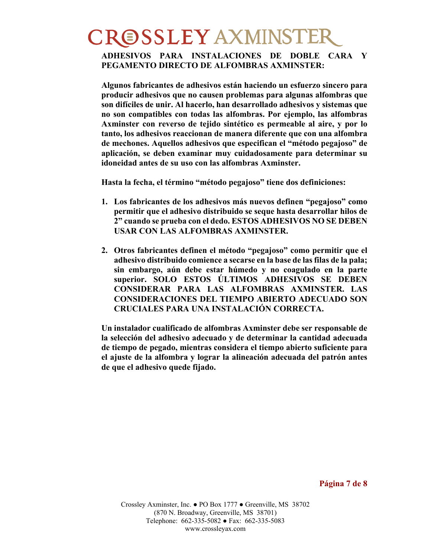#### **ADHESIVOS PARA INSTALACIONES DE DOBLE CARA Y PEGAMENTO DIRECTO DE ALFOMBRAS AXMINSTER:**

**Algunos fabricantes de adhesivos están haciendo un esfuerzo sincero para producir adhesivos que no causen problemas para algunas alfombras que son difíciles de unir. Al hacerlo, han desarrollado adhesivos y sistemas que no son compatibles con todas las alfombras. Por ejemplo, las alfombras Axminster con reverso de tejido sintético es permeable al aire, y por lo tanto, los adhesivos reaccionan de manera diferente que con una alfombra de mechones. Aquellos adhesivos que especifican el "método pegajoso" de aplicación, se deben examinar muy cuidadosamente para determinar su idoneidad antes de su uso con las alfombras Axminster.**

**Hasta la fecha, el término "método pegajoso" tiene dos definiciones:**

- **1. Los fabricantes de los adhesivos más nuevos definen "pegajoso" como permitir que el adhesivo distribuido se seque hasta desarrollar hilos de 2" cuando se prueba con el dedo. ESTOS ADHESIVOS NO SE DEBEN USAR CON LAS ALFOMBRAS AXMINSTER.**
- **2. Otros fabricantes definen el método "pegajoso" como permitir que el adhesivo distribuido comience a secarse en la base de lasfilas de la pala; sin embargo, aún debe estar húmedo y no coagulado en la parte superior. SOLO ESTOS ÚLTIMOS ADHESIVOS SE DEBEN CONSIDERAR PARA LAS ALFOMBRAS AXMINSTER. LAS CONSIDERACIONES DEL TIEMPO ABIERTO ADECUADO SON CRUCIALES PARA UNA INSTALACIÓN CORRECTA.**

**Un instalador cualificado de alfombras Axminster debe ser responsable de la selección del adhesivo adecuado y de determinar la cantidad adecuada de tiempo de pegado, mientras considera el tiempo abierto suficiente para el ajuste de la alfombra y lograr la alineación adecuada del patrón antes de que el adhesivo quede fijado.**

**Página 7 de 8**